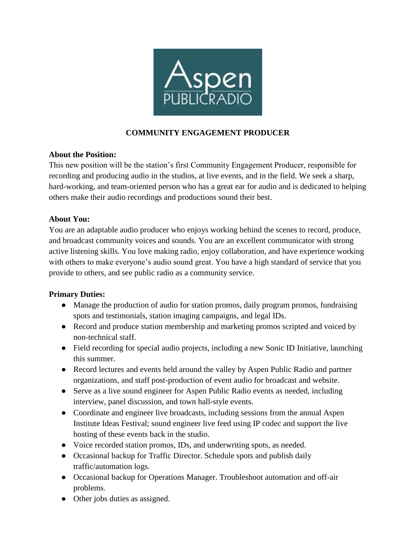

## **COMMUNITY ENGAGEMENT PRODUCER**

#### **About the Position:**

This new position will be the station's first Community Engagement Producer, responsible for recording and producing audio in the studios, at live events, and in the field. We seek a sharp, hard-working, and team-oriented person who has a great ear for audio and is dedicated to helping others make their audio recordings and productions sound their best.

### **About You:**

You are an adaptable audio producer who enjoys working behind the scenes to record, produce, and broadcast community voices and sounds. You are an excellent communicator with strong active listening skills. You love making radio, enjoy collaboration, and have experience working with others to make everyone's audio sound great. You have a high standard of service that you provide to others, and see public radio as a community service.

#### **Primary Duties:**

- Manage the production of audio for station promos, daily program promos, fundraising spots and testimonials, station imaging campaigns, and legal IDs.
- Record and produce station membership and marketing promos scripted and voiced by non-technical staff.
- Field recording for special audio projects, including a new Sonic ID Initiative, launching this summer.
- Record lectures and events held around the valley by Aspen Public Radio and partner organizations, and staff post-production of event audio for broadcast and website.
- Serve as a live sound engineer for Aspen Public Radio events as needed, including interview, panel discussion, and town hall-style events.
- Coordinate and engineer live broadcasts, including sessions from the annual Aspen Institute Ideas Festival; sound engineer live feed using IP codec and support the live hosting of these events back in the studio.
- Voice recorded station promos, IDs, and underwriting spots, as needed.
- Occasional backup for Traffic Director. Schedule spots and publish daily traffic/automation logs.
- Occasional backup for Operations Manager. Troubleshoot automation and off-air problems.
- Other jobs duties as assigned.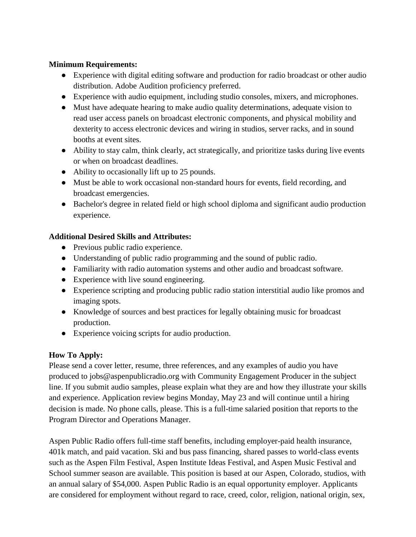#### **Minimum Requirements:**

- Experience with digital editing software and production for radio broadcast or other audio distribution. Adobe Audition proficiency preferred.
- Experience with audio equipment, including studio consoles, mixers, and microphones.
- Must have adequate hearing to make audio quality determinations, adequate vision to read user access panels on broadcast electronic components, and physical mobility and dexterity to access electronic devices and wiring in studios, server racks, and in sound booths at event sites.
- Ability to stay calm, think clearly, act strategically, and prioritize tasks during live events or when on broadcast deadlines.
- Ability to occasionally lift up to 25 pounds.
- Must be able to work occasional non-standard hours for events, field recording, and broadcast emergencies.
- Bachelor's degree in related field or high school diploma and significant audio production experience.

## **Additional Desired Skills and Attributes:**

- Previous public radio experience.
- Understanding of public radio programming and the sound of public radio.
- Familiarity with radio automation systems and other audio and broadcast software.
- Experience with live sound engineering.
- Experience scripting and producing public radio station interstitial audio like promos and imaging spots.
- Knowledge of sources and best practices for legally obtaining music for broadcast production.
- Experience voicing scripts for audio production.

# **How To Apply:**

Please send a cover letter, resume, three references, and any examples of audio you have produced to jobs@aspenpublicradio.org with Community Engagement Producer in the subject line. If you submit audio samples, please explain what they are and how they illustrate your skills and experience. Application review begins Monday, May 23 and will continue until a hiring decision is made. No phone calls, please. This is a full-time salaried position that reports to the Program Director and Operations Manager.

Aspen Public Radio offers full-time staff benefits, including employer-paid health insurance, 401k match, and paid vacation. Ski and bus pass financing, shared passes to world-class events such as the Aspen Film Festival, Aspen Institute Ideas Festival, and Aspen Music Festival and School summer season are available. This position is based at our Aspen, Colorado, studios, with an annual salary of \$54,000. Aspen Public Radio is an equal opportunity employer. Applicants are considered for employment without regard to race, creed, color, religion, national origin, sex,